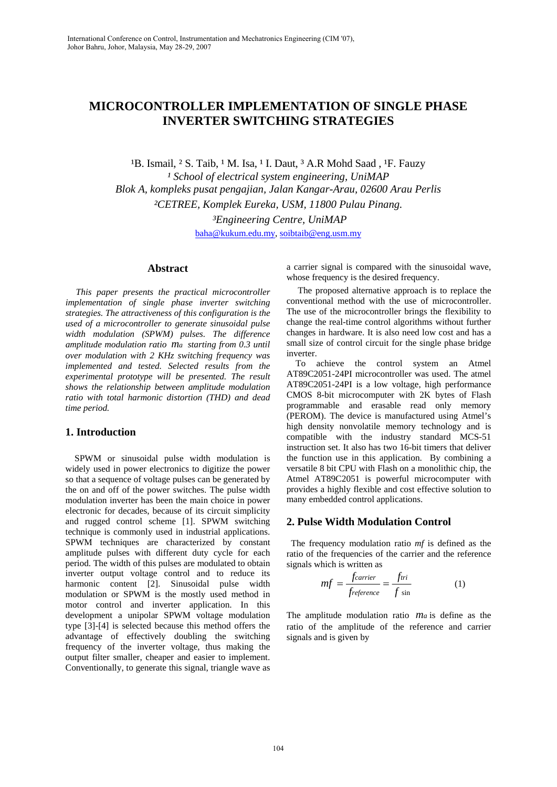# **MICROCONTROLLER IMPLEMENTATION OF SINGLE PHASE INVERTER SWITCHING STRATEGIES**

<sup>1</sup>B. Ismail, <sup>2</sup> S. Taib, <sup>1</sup> M. Isa, <sup>1</sup> I. Daut, <sup>3</sup> A.R Mohd Saad, <sup>1</sup>F. Fauzy <sup>1</sup> School of electrical system engineering, UniMAP *Blok A, kompleks pusat pengajian, Jalan Kangar-Arau, 02600 Arau Perlis ²CETREE, Komplek Eureka, USM, 11800 Pulau Pinang. ³Engineering Centre, UniMAP*  baha@kukum.edu.my, soibtaib@eng.usm.my

### **Abstract**

 *This paper presents the practical microcontroller implementation of single phase inverter switching strategies. The attractiveness of this configuration is the used of a microcontroller to generate sinusoidal pulse width modulation (SPWM) pulses. The difference amplitude modulation ratio ma starting from 0.3 until over modulation with 2 KHz switching frequency was implemented and tested. Selected results from the experimental prototype will be presented. The result shows the relationship between amplitude modulation ratio with total harmonic distortion (THD) and dead time period.* 

# **1. Introduction**

 SPWM or sinusoidal pulse width modulation is widely used in power electronics to digitize the power so that a sequence of voltage pulses can be generated by the on and off of the power switches. The pulse width modulation inverter has been the main choice in power electronic for decades, because of its circuit simplicity and rugged control scheme [1]. SPWM switching technique is commonly used in industrial applications. SPWM techniques are characterized by constant amplitude pulses with different duty cycle for each period. The width of this pulses are modulated to obtain inverter output voltage control and to reduce its harmonic content [2]. Sinusoidal pulse width modulation or SPWM is the mostly used method in motor control and inverter application. In this development a unipolar SPWM voltage modulation type [3]-[4] is selected because this method offers the advantage of effectively doubling the switching frequency of the inverter voltage, thus making the output filter smaller, cheaper and easier to implement. Conventionally, to generate this signal, triangle wave as

a carrier signal is compared with the sinusoidal wave, whose frequency is the desired frequency.

 The proposed alternative approach is to replace the conventional method with the use of microcontroller. The use of the microcontroller brings the flexibility to change the real-time control algorithms without further changes in hardware. It is also need low cost and has a small size of control circuit for the single phase bridge inverter.

 To achieve the control system an Atmel AT89C2051-24PI microcontroller was used. The atmel AT89C2051-24PI is a low voltage, high performance CMOS 8-bit microcomputer with 2K bytes of Flash programmable and erasable read only memory (PEROM). The device is manufactured using Atmel's high density nonvolatile memory technology and is compatible with the industry standard MCS-51 instruction set. It also has two 16-bit timers that deliver the function use in this application. By combining a versatile 8 bit CPU with Flash on a monolithic chip, the Atmel AT89C2051 is powerful microcomputer with provides a highly flexible and cost effective solution to many embedded control applications.

# **2. Pulse Width Modulation Control**

 The frequency modulation ratio *mf* is defined as the ratio of the frequencies of the carrier and the reference signals which is written as

$$
mf = \frac{f \circ a \cdot r}{f \circ f \circ a \cdot r} = \frac{f \cdot r}{f \cdot \sin} \tag{1}
$$

The amplitude modulation ratio *ma* is define as the ratio of the amplitude of the reference and carrier signals and is given by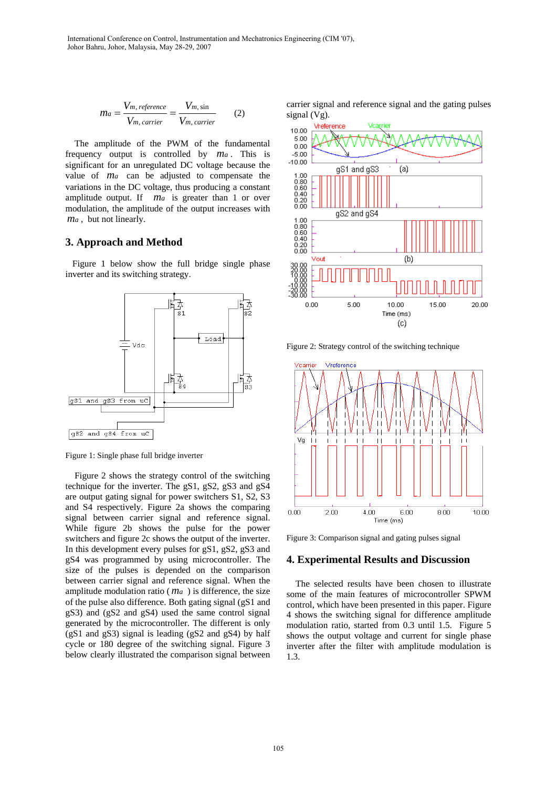$$
ma = \frac{V_{m, reference}}{V_{m, carrier}} = \frac{V_{m, sin}}{V_{m, carrier}} \tag{2}
$$

 The amplitude of the PWM of the fundamental frequency output is controlled by *ma* . This is significant for an unregulated DC voltage because the value of *ma* can be adjusted to compensate the variations in the DC voltage, thus producing a constant amplitude output. If *ma* is greater than 1 or over modulation, the amplitude of the output increases with *ma* , but not linearly.

## **3. Approach and Method**

 Figure 1 below show the full bridge single phase inverter and its switching strategy.



Figure 1: Single phase full bridge inverter

 Figure 2 shows the strategy control of the switching technique for the inverter. The gS1, gS2, gS3 and gS4 are output gating signal for power switchers S1, S2, S3 and S4 respectively. Figure 2a shows the comparing signal between carrier signal and reference signal. While figure 2b shows the pulse for the power switchers and figure 2c shows the output of the inverter. In this development every pulses for gS1, gS2, gS3 and gS4 was programmed by using microcontroller. The size of the pulses is depended on the comparison between carrier signal and reference signal. When the amplitude modulation ratio ( $m_a$ ) is difference, the size of the pulse also difference. Both gating signal (gS1 and gS3) and (gS2 and gS4) used the same control signal generated by the microcontroller. The different is only (gS1 and gS3) signal is leading (gS2 and gS4) by half cycle or 180 degree of the switching signal. Figure 3 below clearly illustrated the comparison signal between carrier signal and reference signal and the gating pulses signal (Vg).



Figure 2: Strategy control of the switching technique



Figure 3: Comparison signal and gating pulses signal

#### **4. Experimental Results and Discussion**

 The selected results have been chosen to illustrate some of the main features of microcontroller SPWM control, which have been presented in this paper. Figure 4 shows the switching signal for difference amplitude modulation ratio, started from 0.3 until 1.5. Figure 5 shows the output voltage and current for single phase inverter after the filter with amplitude modulation is 1.3.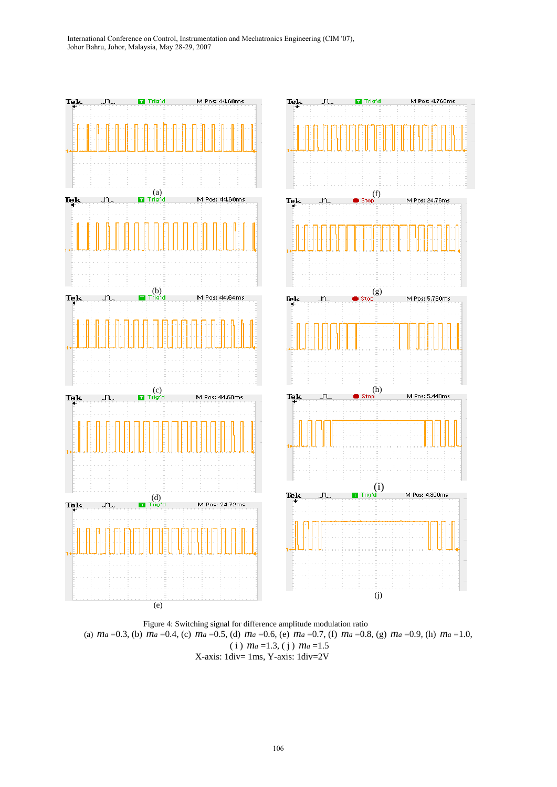

 Figure 4: Switching signal for difference amplitude modulation ratio (a) *ma* =0.3, (b) *ma* =0.4, (c) *ma* =0.5, (d) *ma* =0.6, (e) *ma* =0.7, (f) *ma* =0.8, (g) *ma* =0.9, (h) *ma* =1.0, ( i ) *ma* =1.3, ( j ) *ma* =1.5 X-axis: 1div= 1ms, Y-axis: 1div=2V